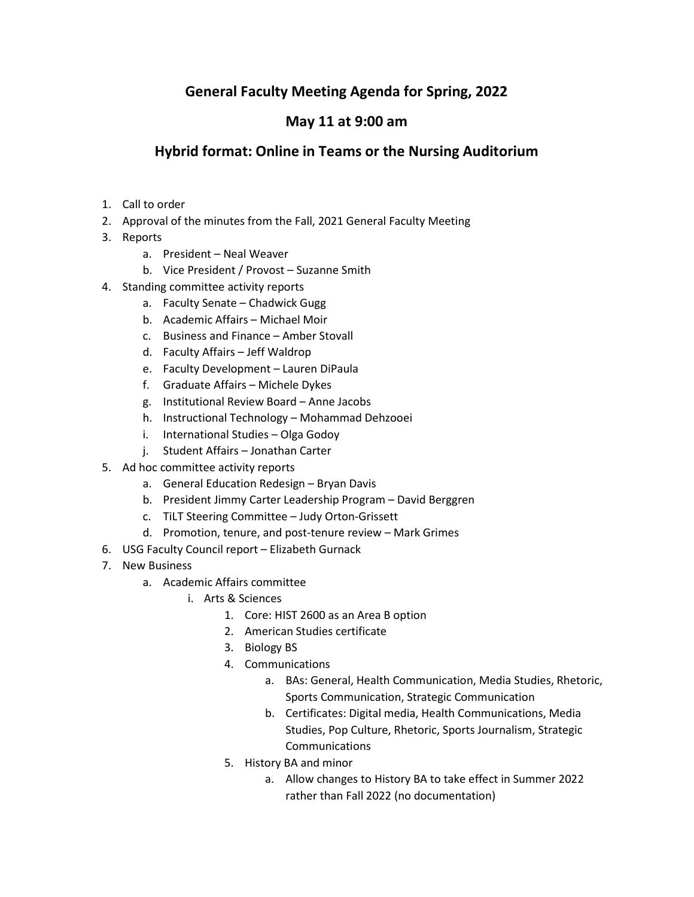# General Faculty Meeting Agenda for Spring, 2022

## May 11 at 9:00 am

## Hybrid format: Online in Teams or the Nursing Auditorium

- 1. Call to order
- 2. Approval of the minutes from the Fall, 2021 General Faculty Meeting
- 3. Reports
	- a. President Neal Weaver
	- b. Vice President / Provost Suzanne Smith
- 4. Standing committee activity reports
	- a. Faculty Senate Chadwick Gugg
	- b. Academic Affairs Michael Moir
	- c. Business and Finance Amber Stovall
	- d. Faculty Affairs Jeff Waldrop
	- e. Faculty Development Lauren DiPaula
	- f. Graduate Affairs Michele Dykes
	- g. Institutional Review Board Anne Jacobs
	- h. Instructional Technology Mohammad Dehzooei
	- i. International Studies Olga Godoy
	- j. Student Affairs Jonathan Carter
- 5. Ad hoc committee activity reports
	- a. General Education Redesign Bryan Davis
	- b. President Jimmy Carter Leadership Program David Berggren
	- c. TiLT Steering Committee Judy Orton-Grissett
	- d. Promotion, tenure, and post-tenure review Mark Grimes
- 6. USG Faculty Council report Elizabeth Gurnack
- 7. New Business
	- a. Academic Affairs committee
		- i. Arts & Sciences
			- 1. Core: HIST 2600 as an Area B option
			- 2. American Studies certificate
			- 3. Biology BS
			- 4. Communications
				- a. BAs: General, Health Communication, Media Studies, Rhetoric, Sports Communication, Strategic Communication
				- b. Certificates: Digital media, Health Communications, Media Studies, Pop Culture, Rhetoric, Sports Journalism, Strategic Communications
			- 5. History BA and minor
				- a. Allow changes to History BA to take effect in Summer 2022 rather than Fall 2022 (no documentation)